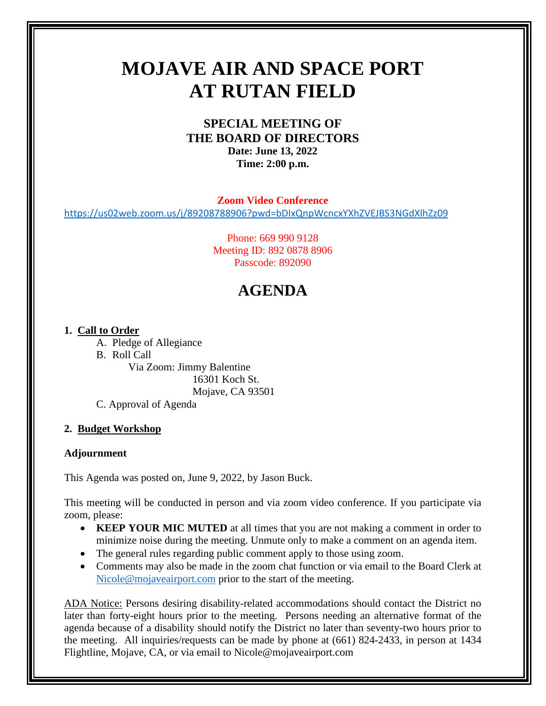# **MOJAVE AIR AND SPACE PORT AT RUTAN FIELD**

## **SPECIAL MEETING OF THE BOARD OF DIRECTORS Date: June 13, 2022 Time: 2:00 p.m.**

**Zoom Video Conference**

<https://us02web.zoom.us/j/89208788906?pwd=bDIxQnpWcncxYXhZVEJBS3NGdXlhZz09>

Phone: 669 990 9128 Meeting ID: 892 0878 8906 Passcode: 892090

# **AGENDA**

#### **1. Call to Order**

- A. Pledge of Allegiance
- B. Roll Call

Via Zoom: Jimmy Balentine 16301 Koch St. Mojave, CA 93501

C. Approval of Agenda

### **2. Budget Workshop**

#### **Adjournment**

This Agenda was posted on, June 9, 2022, by Jason Buck.

This meeting will be conducted in person and via zoom video conference. If you participate via zoom, please:

- **KEEP YOUR MIC MUTED** at all times that you are not making a comment in order to minimize noise during the meeting. Unmute only to make a comment on an agenda item.
- The general rules regarding public comment apply to those using zoom.
- Comments may also be made in the zoom chat function or via email to the Board Clerk at [Nicole@mojaveairport.com](mailto:Nicole@mojaveairport.com) prior to the start of the meeting.

ADA Notice: Persons desiring disability-related accommodations should contact the District no later than forty-eight hours prior to the meeting. Persons needing an alternative format of the agenda because of a disability should notify the District no later than seventy-two hours prior to the meeting. All inquiries/requests can be made by phone at (661) 824-2433, in person at 1434 Flightline, Mojave, CA, or via email to Nicole@mojaveairport.com